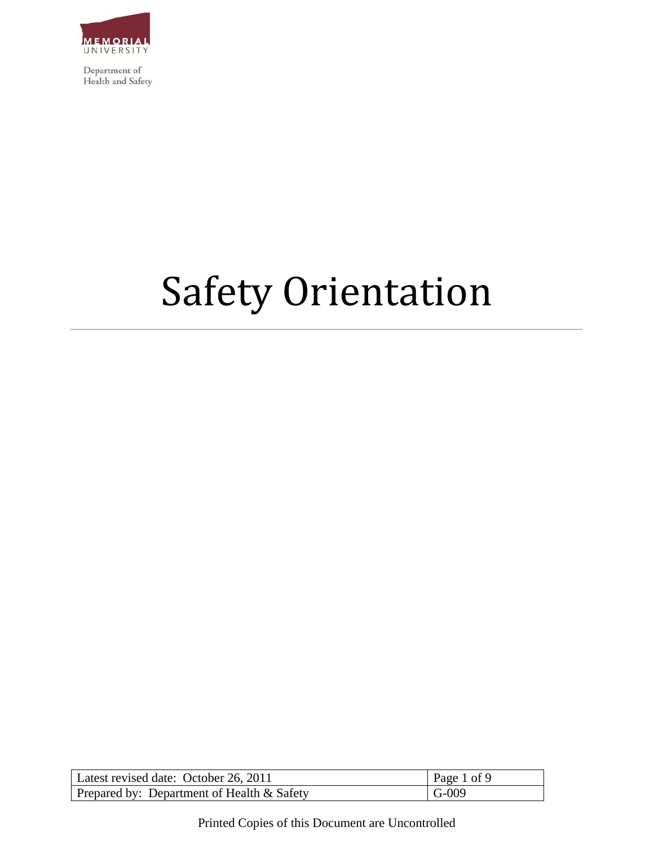

# Safety Orientation

| Latest revised date: October 26, 2011         | Page 1 of 9 |
|-----------------------------------------------|-------------|
| Prepared by: Department of Health $\&$ Safety | $G-009$     |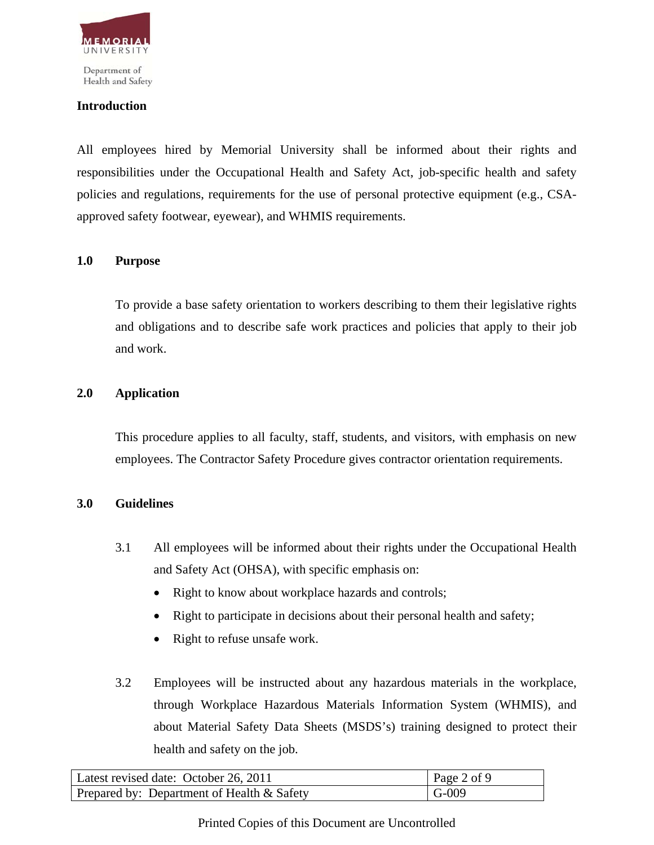

Health and Safety

#### **Introduction**

All employees hired by Memorial University shall be informed about their rights and responsibilities under the Occupational Health and Safety Act, job-specific health and safety policies and regulations, requirements for the use of personal protective equipment (e.g., CSAapproved safety footwear, eyewear), and WHMIS requirements.

### **1.0 Purpose**

To provide a base safety orientation to workers describing to them their legislative rights and obligations and to describe safe work practices and policies that apply to their job and work.

#### **2.0 Application**

This procedure applies to all faculty, staff, students, and visitors, with emphasis on new employees. The Contractor Safety Procedure gives contractor orientation requirements.

#### **3.0 Guidelines**

- 3.1 All employees will be informed about their rights under the Occupational Health and Safety Act (OHSA), with specific emphasis on:
	- Right to know about workplace hazards and controls;
	- Right to participate in decisions about their personal health and safety;
	- Right to refuse unsafe work.
- 3.2 Employees will be instructed about any hazardous materials in the workplace, through Workplace Hazardous Materials Information System (WHMIS), and about Material Safety Data Sheets (MSDS's) training designed to protect their health and safety on the job.

| Latest revised date: October 26, 2011      | $\vert$ Page 2 of 9 |
|--------------------------------------------|---------------------|
| Prepared by: Department of Health & Safety | $\overline{G}$ -009 |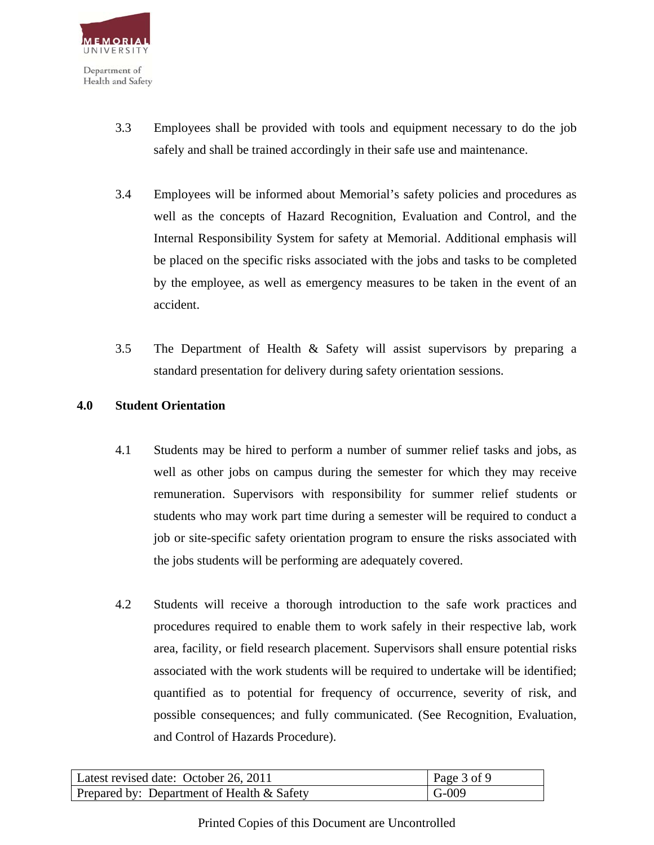

- 3.3 Employees shall be provided with tools and equipment necessary to do the job safely and shall be trained accordingly in their safe use and maintenance.
- 3.4 Employees will be informed about Memorial's safety policies and procedures as well as the concepts of Hazard Recognition, Evaluation and Control, and the Internal Responsibility System for safety at Memorial. Additional emphasis will be placed on the specific risks associated with the jobs and tasks to be completed by the employee, as well as emergency measures to be taken in the event of an accident.
- 3.5 The Department of Health & Safety will assist supervisors by preparing a standard presentation for delivery during safety orientation sessions.

#### **4.0 Student Orientation**

- 4.1 Students may be hired to perform a number of summer relief tasks and jobs, as well as other jobs on campus during the semester for which they may receive remuneration. Supervisors with responsibility for summer relief students or students who may work part time during a semester will be required to conduct a job or site-specific safety orientation program to ensure the risks associated with the jobs students will be performing are adequately covered.
- 4.2 Students will receive a thorough introduction to the safe work practices and procedures required to enable them to work safely in their respective lab, work area, facility, or field research placement. Supervisors shall ensure potential risks associated with the work students will be required to undertake will be identified; quantified as to potential for frequency of occurrence, severity of risk, and possible consequences; and fully communicated. (See Recognition, Evaluation, and Control of Hazards Procedure).

| Latest revised date: October 26, 2011      | $\vert$ Page 3 of 9 |
|--------------------------------------------|---------------------|
| Prepared by: Department of Health & Safety | $\mid$ G-009        |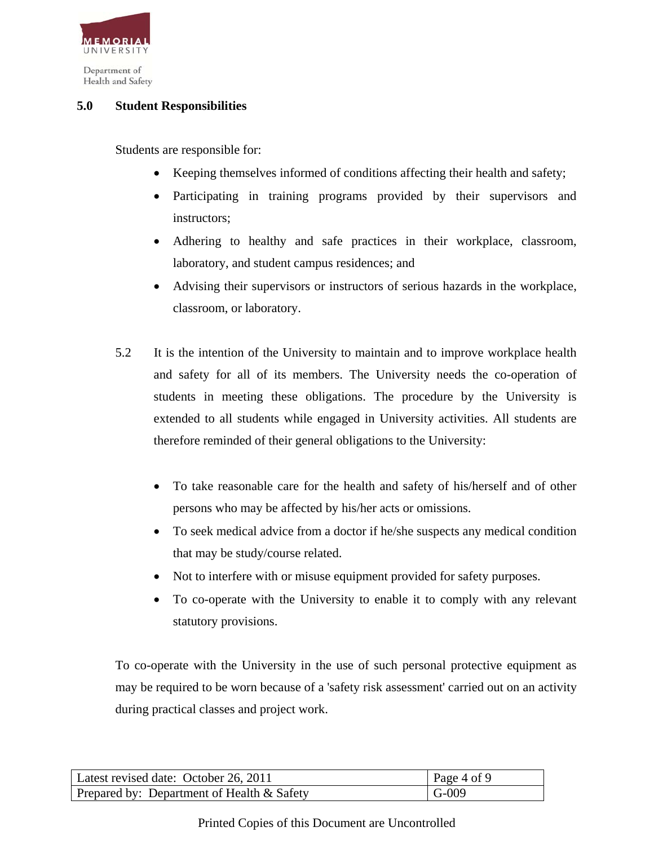

## **5.0 Student Responsibilities**

Students are responsible for:

- Keeping themselves informed of conditions affecting their health and safety;
- Participating in training programs provided by their supervisors and instructors;
- Adhering to healthy and safe practices in their workplace, classroom, laboratory, and student campus residences; and
- Advising their supervisors or instructors of serious hazards in the workplace, classroom, or laboratory.
- 5.2 It is the intention of the University to maintain and to improve workplace health and safety for all of its members. The University needs the co-operation of students in meeting these obligations. The procedure by the University is extended to all students while engaged in University activities. All students are therefore reminded of their general obligations to the University:
	- To take reasonable care for the health and safety of his/herself and of other persons who may be affected by his/her acts or omissions.
	- To seek medical advice from a doctor if he/she suspects any medical condition that may be study/course related.
	- Not to interfere with or misuse equipment provided for safety purposes.
	- To co-operate with the University to enable it to comply with any relevant statutory provisions.

To co-operate with the University in the use of such personal protective equipment as may be required to be worn because of a 'safety risk assessment' carried out on an activity during practical classes and project work.

| Latest revised date: October 26, 2011         | $\vert$ Page 4 of 9 |
|-----------------------------------------------|---------------------|
| Prepared by: Department of Health $\&$ Safety | $\overline{G}$ -009 |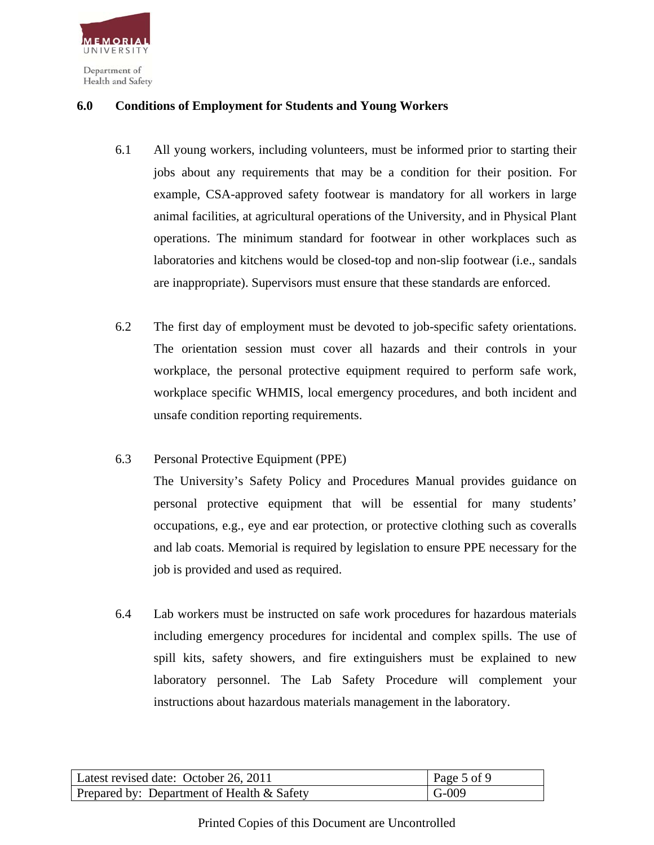

### **6.0 Conditions of Employment for Students and Young Workers**

- 6.1 All young workers, including volunteers, must be informed prior to starting their jobs about any requirements that may be a condition for their position. For example, CSA-approved safety footwear is mandatory for all workers in large animal facilities, at agricultural operations of the University, and in Physical Plant operations. The minimum standard for footwear in other workplaces such as laboratories and kitchens would be closed-top and non-slip footwear (i.e., sandals are inappropriate). Supervisors must ensure that these standards are enforced.
- 6.2 The first day of employment must be devoted to job-specific safety orientations. The orientation session must cover all hazards and their controls in your workplace, the personal protective equipment required to perform safe work, workplace specific WHMIS, local emergency procedures, and both incident and unsafe condition reporting requirements.
- 6.3 Personal Protective Equipment (PPE)

The University's Safety Policy and Procedures Manual provides guidance on personal protective equipment that will be essential for many students' occupations, e.g., eye and ear protection, or protective clothing such as coveralls and lab coats. Memorial is required by legislation to ensure PPE necessary for the job is provided and used as required.

6.4 Lab workers must be instructed on safe work procedures for hazardous materials including emergency procedures for incidental and complex spills. The use of spill kits, safety showers, and fire extinguishers must be explained to new laboratory personnel. The Lab Safety Procedure will complement your instructions about hazardous materials management in the laboratory.

| Latest revised date: October 26, 2011      | Page 5 of 9 |
|--------------------------------------------|-------------|
| Prepared by: Department of Health & Safety | $G-009$     |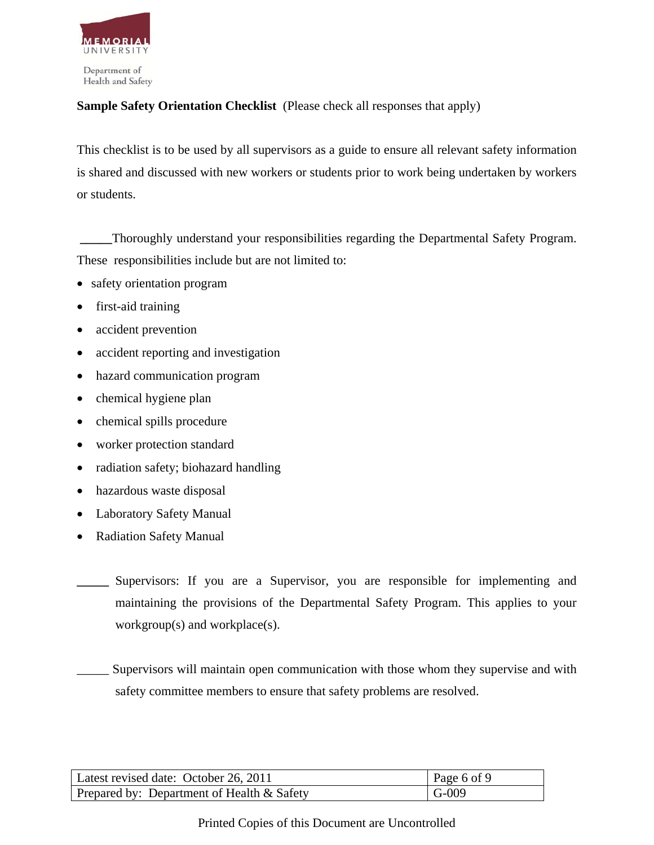

## **Sample Safety Orientation Checklist** (Please check all responses that apply)

This checklist is to be used by all supervisors as a guide to ensure all relevant safety information is shared and discussed with new workers or students prior to work being undertaken by workers or students.

**\_\_\_\_\_**Thoroughly understand your responsibilities regarding the Departmental Safety Program. These responsibilities include but are not limited to:

- safety orientation program
- first-aid training
- accident prevention
- accident reporting and investigation
- hazard communication program
- chemical hygiene plan
- chemical spills procedure
- worker protection standard
- radiation safety; biohazard handling
- hazardous waste disposal
- Laboratory Safety Manual
- Radiation Safety Manual
- Supervisors: If you are a Supervisor, you are responsible for implementing and maintaining the provisions of the Departmental Safety Program. This applies to your workgroup(s) and workplace(s).

Supervisors will maintain open communication with those whom they supervise and with safety committee members to ensure that safety problems are resolved.

| Latest revised date: October 26, 2011      | Page 6 of 9 |
|--------------------------------------------|-------------|
| Prepared by: Department of Health & Safety | $-G-009$    |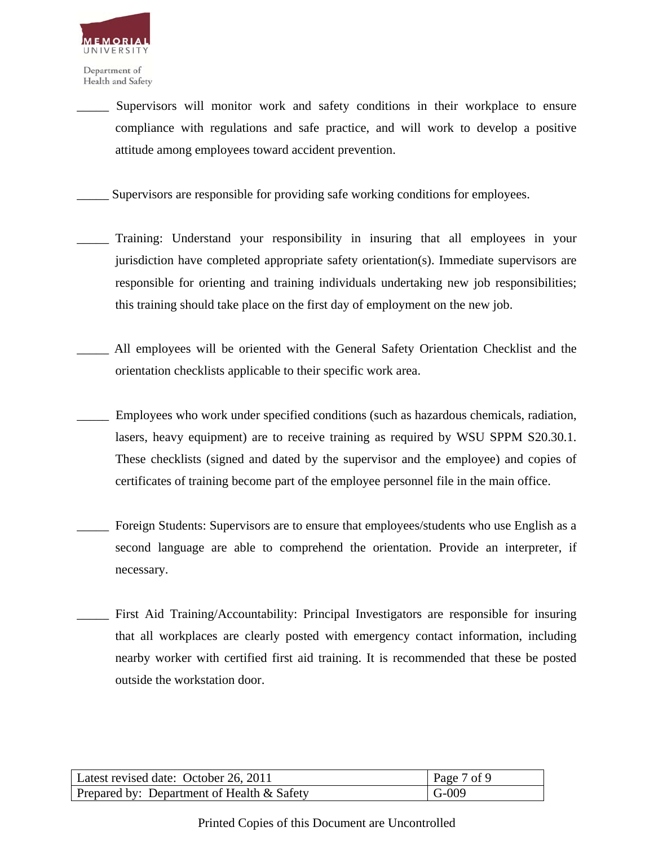

> Supervisors will monitor work and safety conditions in their workplace to ensure compliance with regulations and safe practice, and will work to develop a positive attitude among employees toward accident prevention.

Supervisors are responsible for providing safe working conditions for employees.

- Training: Understand your responsibility in insuring that all employees in your jurisdiction have completed appropriate safety orientation(s). Immediate supervisors are responsible for orienting and training individuals undertaking new job responsibilities; this training should take place on the first day of employment on the new job.
- All employees will be oriented with the General Safety Orientation Checklist and the orientation checklists applicable to their specific work area.
- Employees who work under specified conditions (such as hazardous chemicals, radiation, lasers, heavy equipment) are to receive training as required by WSU SPPM S20.30.1. These checklists (signed and dated by the supervisor and the employee) and copies of certificates of training become part of the employee personnel file in the main office.
- Foreign Students: Supervisors are to ensure that employees/students who use English as a second language are able to comprehend the orientation. Provide an interpreter, if necessary.
- First Aid Training/Accountability: Principal Investigators are responsible for insuring that all workplaces are clearly posted with emergency contact information, including nearby worker with certified first aid training. It is recommended that these be posted outside the workstation door.

| Latest revised date: October 26, 2011         | Page 7 of 9  |
|-----------------------------------------------|--------------|
| Prepared by: Department of Health $\&$ Safety | $\mid$ G-009 |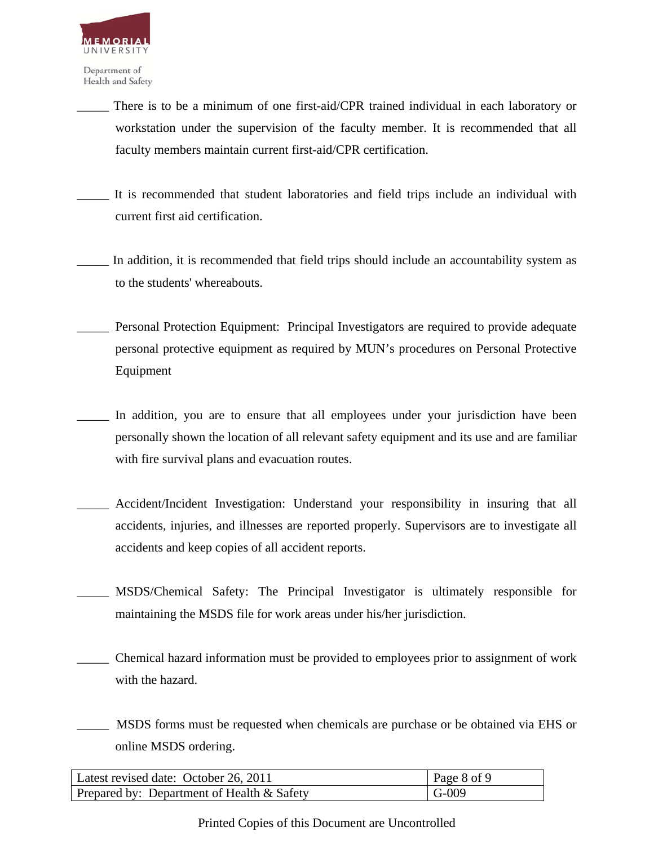

- There is to be a minimum of one first-aid/CPR trained individual in each laboratory or workstation under the supervision of the faculty member. It is recommended that all faculty members maintain current first-aid/CPR certification.
- It is recommended that student laboratories and field trips include an individual with current first aid certification.
- In addition, it is recommended that field trips should include an accountability system as to the students' whereabouts.
- \_\_\_\_\_ Personal Protection Equipment:Principal Investigators are required to provide adequate personal protective equipment as required by MUN's procedures on Personal Protective Equipment
- In addition, you are to ensure that all employees under your jurisdiction have been personally shown the location of all relevant safety equipment and its use and are familiar with fire survival plans and evacuation routes.
- Accident/Incident Investigation: Understand your responsibility in insuring that all accidents, injuries, and illnesses are reported properly. Supervisors are to investigate all accidents and keep copies of all accident reports.
- MSDS/Chemical Safety: The Principal Investigator is ultimately responsible for maintaining the MSDS file for work areas under his/her jurisdiction.
- \_\_\_\_\_ Chemical hazard information must be provided to employees prior to assignment of work with the hazard.
- \_\_\_\_\_ MSDS forms must be requested when chemicals are purchase or be obtained via EHS or online MSDS ordering.

| Latest revised date: October 26, 2011      | $\vert$ Page 8 of 9 |
|--------------------------------------------|---------------------|
| Prepared by: Department of Health & Safety | $\overline{G}$ -009 |